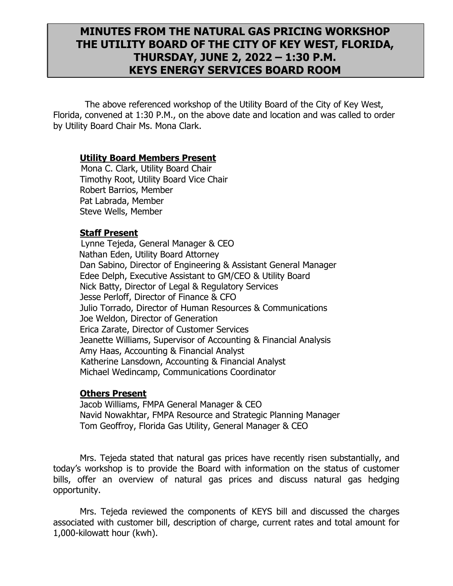# **MINUTES FROM THE NATURAL GAS PRICING WORKSHOP THE UTILITY BOARD OF THE CITY OF KEY WEST, FLORIDA, THURSDAY, JUNE 2, 2022 – 1:30 P.M. KEYS ENERGY SERVICES BOARD ROOM**

The above referenced workshop of the Utility Board of the City of Key West, Florida, convened at 1:30 P.M., on the above date and location and was called to order by Utility Board Chair Ms. Mona Clark.

### **Utility Board Members Present**

 Mona C. Clark, Utility Board Chair Timothy Root, Utility Board Vice Chair Robert Barrios, Member Pat Labrada, Member Steve Wells, Member

### **Staff Present**

 Lynne Tejeda, General Manager & CEO Nathan Eden, Utility Board Attorney Dan Sabino, Director of Engineering & Assistant General Manager Edee Delph, Executive Assistant to GM/CEO & Utility Board Nick Batty, Director of Legal & Regulatory Services Jesse Perloff, Director of Finance & CFO Julio Torrado, Director of Human Resources & Communications Joe Weldon, Director of Generation Erica Zarate, Director of Customer Services Jeanette Williams, Supervisor of Accounting & Financial Analysis Amy Haas, Accounting & Financial Analyst Katherine Lansdown, Accounting & Financial Analyst Michael Wedincamp, Communications Coordinator

### **Others Present**

Jacob Williams, FMPA General Manager & CEO Navid Nowakhtar, FMPA Resource and Strategic Planning Manager Tom Geoffroy, Florida Gas Utility, General Manager & CEO

Mrs. Tejeda stated that natural gas prices have recently risen substantially, and today's workshop is to provide the Board with information on the status of customer bills, offer an overview of natural gas prices and discuss natural gas hedging opportunity.

Mrs. Tejeda reviewed the components of KEYS bill and discussed the charges associated with customer bill, description of charge, current rates and total amount for 1,000-kilowatt hour (kwh).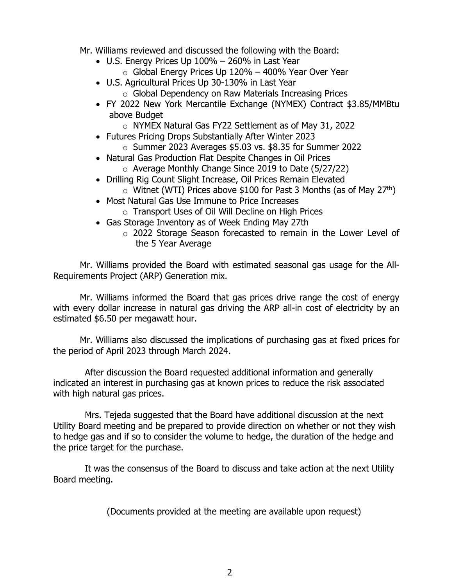- Mr. Williams reviewed and discussed the following with the Board:
	- U.S. Energy Prices Up 100% 260% in Last Year
		- $\circ$  Global Energy Prices Up 120% 400% Year Over Year
	- U.S. Agricultural Prices Up 30-130% in Last Year
		- o Global Dependency on Raw Materials Increasing Prices
	- FY 2022 New York Mercantile Exchange (NYMEX) Contract \$3.85/MMBtu above Budget
		- o NYMEX Natural Gas FY22 Settlement as of May 31, 2022
	- Futures Pricing Drops Substantially After Winter 2023
		- $\circ$  Summer 2023 Averages \$5.03 vs. \$8.35 for Summer 2022
	- Natural Gas Production Flat Despite Changes in Oil Prices
		- o Average Monthly Change Since 2019 to Date (5/27/22)
	- Drilling Rig Count Slight Increase, Oil Prices Remain Elevated
		- $\circ$  Witnet (WTI) Prices above \$100 for Past 3 Months (as of May 27<sup>th</sup>)
	- Most Natural Gas Use Immune to Price Increases
		- o Transport Uses of Oil Will Decline on High Prices
	- Gas Storage Inventory as of Week Ending May 27th
		- o 2022 Storage Season forecasted to remain in the Lower Level of the 5 Year Average

Mr. Williams provided the Board with estimated seasonal gas usage for the All-Requirements Project (ARP) Generation mix.

Mr. Williams informed the Board that gas prices drive range the cost of energy with every dollar increase in natural gas driving the ARP all-in cost of electricity by an estimated \$6.50 per megawatt hour.

Mr. Williams also discussed the implications of purchasing gas at fixed prices for the period of April 2023 through March 2024.

After discussion the Board requested additional information and generally indicated an interest in purchasing gas at known prices to reduce the risk associated with high natural gas prices.

Mrs. Tejeda suggested that the Board have additional discussion at the next Utility Board meeting and be prepared to provide direction on whether or not they wish to hedge gas and if so to consider the volume to hedge, the duration of the hedge and the price target for the purchase.

It was the consensus of the Board to discuss and take action at the next Utility Board meeting.

(Documents provided at the meeting are available upon request)